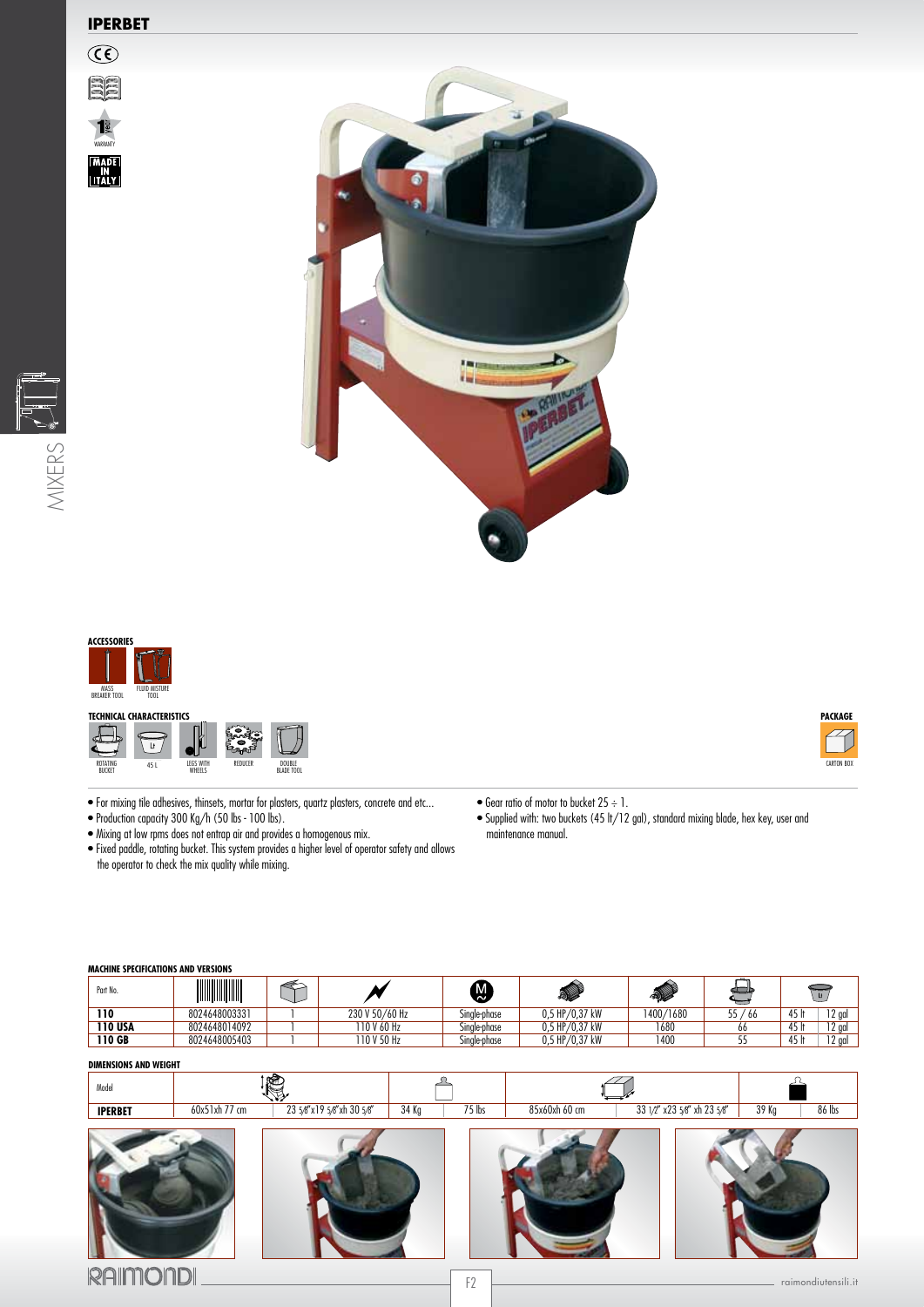## **IPERBET**

WARRANTY |MADE|<br>|IN<br>|ITALY|









- For mixing tile adhesives, thinsets, mortar for plasters, quartz plasters, concrete and etc...
- Production capacity 300 Kg/h (50 lbs 100 lbs).
- Mixing at low rpms does not entrap air and provides a homogenous mix.
- Fixed paddle, rotating bucket. This system provides a higher level of operator safety and allows the operator to check the mix quality while mixing.
- $\bullet$  Gear ratio of motor to bucket 25  $\div$  1.

• Supplied with: two buckets (45 lt/12 gal), standard mixing blade, hex key, user and maintenance manual.

| MACHINE SPECIFICATIONS AND VERSIONS |                  |
|-------------------------------------|------------------|
|                                     | ---------------- |

| Part No.       | WWW.WW        |                | $\widetilde{\mathcal{C}}$ | الله.            | <b>SI</b> |     |               |  |  |
|----------------|---------------|----------------|---------------------------|------------------|-----------|-----|---------------|--|--|
| 110            | 8024648003331 | 230 V 50/60 Hz | Single-phase              | 0,5 HP/0,37 kW   | 1400/1680 | '66 | $12$ aa<br>т. |  |  |
| <b>110 USA</b> | 8024648014092 | ' 10 V 60 Hz   | Single-phase              | $0.5$ HP/0.37 kW | 1680      | 00  | 12a<br>1J     |  |  |
| 110 GB         | 8024648005403 | 10 V 50 Hz     | Single-phase              | 0,5 HP/0,37 kW   | 1400      |     | $12$ aal      |  |  |

## **DIMENSIONS AND WEIGHT**

| Model          |               | еâ                        |       |          |               |                             |                 |
|----------------|---------------|---------------------------|-------|----------|---------------|-----------------------------|-----------------|
| <b>IPERBET</b> | 60x51xh 77 cm | 23 5/8"x19 5/8"xh 30 5/8" | 34 Kg | $75$ lbs | 85x60xh 60 cm | 33 1/2" x23 5/8" xh 23 5/8" | 39 Kg<br>86 lbs |
|                |               |                           |       |          |               |                             |                 |



**PACKAGE**